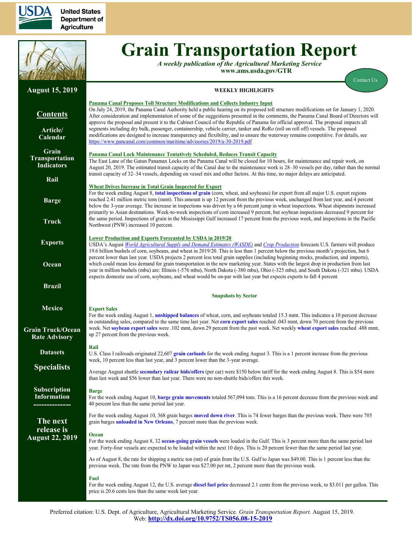



# **Grain Transportation Report**

*A weekly publication of the Agricultural Marketing Service*  **www.ams.usda.gov/GTR**

[Contact Us](mailto:Surajudeen.Olowolayemo@ams.usda.gov) 

#### **August 15, 2019 Contents [Article/](#page-1-0) [Calendar](#page-1-0) [Grain](#page-3-0) [Transportation](#page-3-0) [Indicators](#page-3-0) [Rail](#page-4-0) [Barge](#page-10-0) [Truck](#page-13-0) [Exports](#page-14-0) [Ocean](#page-18-0) [Brazil](https://www.ams.usda.gov/services/transportation-analysis/brazil) [Mexico](https://www.ams.usda.gov/services/transportation-analysis/mexico) [Grain Truck/Ocean](https://www.ams.usda.gov/services/transportation-analysis/gtor) [Rate Advisory](https://www.ams.usda.gov/services/transportation-analysis/gtor) [Datase](https://www.ams.usda.gov/services/transportation-analysis/gtr-datasets)ts [Specialists](#page-21-0) [Subscription](#page-21-0)  [Information](#page-21-0) -------------- The next release is August 22, 2019 WEEKLY HIGHLIGHTS Panama Canal Proposes Toll Structure Modifications and Collects Industry Input** On July 24, 2019, the Panama Canal Authority held a public hearing on its proposed toll structure modifications set for January 1, 2020. After consideration and implementation of some of the suggestions presented in the comments, the Panama Canal Board of Directors will approve the proposal and present it to the Cabinet Council of the Republic of Panama for official approval. The proposal impacts all segments including dry bulk, passenger, containership, vehicle carrier, tanker and RoRo (roll on roll off) vessels. The proposed modifications are designed to increase transparency and flexibility, and to ensure the waterway remains competitive. For details, see <https://www.pancanal.com/common/maritime/advisories/2019/a-30-2019.pdf> **Panama Canal Lock Maintenance Tentatively Scheduled, Reduces Transit Capacity** The East Lane of the Gatun Panamax Locks on the Panama Canal will be closed for 10 hours, for maintenance and repair work, on August 20, 2019. The estimated transit capacity of the Canal due to the maintenance work is 28–30 vessels per day, rather than the normal transit capacity of 32–34 vessels, depending on vessel mix and other factors. At this time, no major delays are anticipated. **Wheat Drives Increase in Total Grain Inspected for Export** For the week ending August 8, **[total inspections of grain](#page-16-0)** (corn, wheat, and soybeans) for export from all major U.S. export regions reached 2.41 million metric tons (mmt). This amount is up 12 percent from the previous week, unchanged from last year, and 4 percent below the 3-year average. The increase in inspections was driven by a 66 percent jump in wheat inspections. Wheat shipments increased primarily to Asian destinations. Week-to-week inspections of corn increased 9 percent, but soybean inspections decreased 9 percent for the same period. Inspections of grain in the Mississippi Gulf increased 17 percent from the previous week, and inspections in the Pacific Northwest (PNW) increased 10 percent. **Lower Production and Exports Forecasted by USDA in 2019/20**  USDA's August *[World Agricultural Supply and Demand Estimates \(WASDE\)](https://www.usda.gov/oce/commodity/wasde/wasde0819.pdf)* and *[Crop Production](https://downloads.usda.library.cornell.edu/usda-esmis/files/tm70mv177/nv935d60h/5138js48b/crop0819.pdf)* forecasts U.S. farmers will produce 19.6 billion bushels of corn, soybeans, and wheat in 2019/20. This is less than 1 percent below the previous month's projection, but 6 percent lower than last year. USDA projects 2 percent less total grain supplies (including beginning stocks, production, and imports), which could mean less demand for grain transportation in the new marketing year. States with the largest drop in production from last year in million bushels (mbu) are: Illinois (-576 mbu), North Dakota (-380 mbu), Ohio (-325 mbu), and South Dakota (-321 mbu). USDA expects domestic use of corn, soybeans, and wheat would be on-par with last year but expects exports to fall 4 percent. **Snapshots by Sector Export Sales** For the week ending August 1, **[unshipped balances](#page-14-1)** of wheat, corn, and soybeans totaled 15.3 mmt. This indicates a 10 percent decrease in outstanding sales, compared to the same time last year. Net **[corn export sales](#page-14-1)** reached .043 mmt, down 70 percent from the previous week. Net **[soybean export sales](#page-15-0)** were .102 mmt, down 29 percent from the past week. Net weekly **[wheat export sales](#page-15-0)** reached .488 mmt, up 27 percent from the previous week. **Rail** U.S. Class I railroads originated 22,607 **[grain carloads](#page-5-0)** for the week ending August 3. This is a 1 percent increase from the previous week, 10 percent less than last year, and 3 percent lower than the 3-year average. Average August shuttle **[secondary railcar bids/offers](#page-7-0)** (per car) were \$150 below tariff for the week ending August 8. This is \$54 more than last week and \$56 lower than last year. There were no non-shuttle bids/offers this week. **Barge** For the week ending August 10, **[barge grain movements](#page-11-0)** totaled 567,094 tons. This is a 16 percent decrease from the previous week and 40 percent less than the same period last year. For the week ending August 10, 368 grain barges **[moved down river](#page-12-0)**. This is 74 fewer barges than the previous week. There were 705 grain barges **[unloaded in New Orleans](#page-12-0)**, 7 percent more than the previous week. **Ocean** For the week ending August 8, 32 **[ocean-going grain vessels](#page-18-1)** were loaded in the Gulf. This is 3 percent more than the same period last year. Forty-four vessels are expected to be loaded within the next 10 days. This is 20 percent fewer than the same period last year. As of August 8, the rate for shipping a metric ton (mt) of grain from the U.S. Gulf to Japan was \$49.00. This is 1 percent less than the previous week. The rate from the PNW to Japan was \$27.00 per mt, 2 percent more than the previous week. **Fuel**

For the week ending August 12, the U.S. average **[diesel fuel price](#page-13-1)** decreased 2.1 cents from the previous week, to \$3.011 per gallon. This price is 20.6 cents less than the same week last year.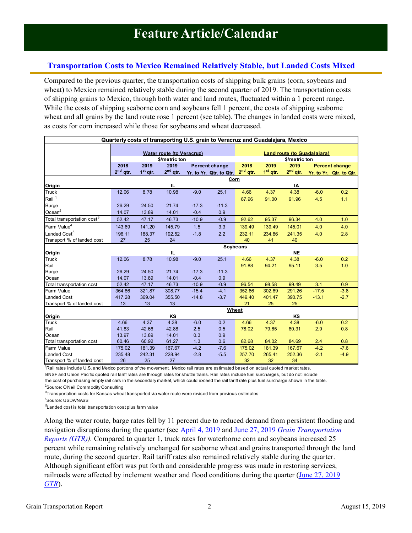# <span id="page-1-0"></span>**Transportation Costs to Mexico Remained Relatively Stable, but Landed Costs Mixed**

Compared to the previous quarter, the transportation costs of shipping bulk grains (corn, soybeans and wheat) to Mexico remained relatively stable during the second quarter of 2019. The transportation costs of shipping grains to Mexico, through both water and land routes, fluctuated within a 1 percent range. While the costs of shipping seaborne corn and soybeans fell 1 percent, the costs of shipping seaborne wheat and all grains by the land route rose 1 percent (see table). The changes in landed costs were mixed, as costs for corn increased while those for soybeans and wheat decreased.

|                                        | Quarterly costs of transporting U.S. grain to Veracruz and Guadalajara, Mexico |                                  |               |         |                         |            |                                                     |            |         |                         |
|----------------------------------------|--------------------------------------------------------------------------------|----------------------------------|---------------|---------|-------------------------|------------|-----------------------------------------------------|------------|---------|-------------------------|
|                                        |                                                                                | <b>Water route (to Veracruz)</b> |               |         |                         |            |                                                     |            |         |                         |
|                                        |                                                                                |                                  | \$/metric ton |         |                         |            | <b>Land route (to Guadalajara)</b><br>\$/metric ton |            |         |                         |
|                                        | 2018                                                                           | 2019                             | 2019          |         | <b>Percent change</b>   | 2018       | 2019                                                | 2019       |         | <b>Percent change</b>   |
|                                        | $2^{nd}$ qtr.                                                                  | 1 <sup>st</sup> qtr.             | $2^{nd}$ qtr. |         | Yr. to Yr. Qtr. to Qtr. | $2nd$ qtr. | $1st$ qtr.                                          | $2nd$ qtr. |         | Yr. to Yr. Qtr. to Qtr. |
|                                        |                                                                                |                                  |               |         | Corn                    |            |                                                     |            |         |                         |
| Origin                                 |                                                                                |                                  | IL.           |         |                         |            |                                                     | IA         |         |                         |
| <b>Truck</b>                           | 12.06                                                                          | 8.78                             | 10.98         | $-9.0$  | 25.1                    | 4.66       | 4.37                                                | 4.38       | $-6.0$  | 0.2                     |
| Rail $1$                               |                                                                                |                                  |               |         |                         | 87.96      | 91.00                                               | 91.96      | 4.5     | 1.1                     |
| Barge                                  | 26.29                                                                          | 24.50                            | 21.74         | $-17.3$ | $-11.3$                 |            |                                                     |            |         |                         |
| Ocean $2$                              | 14.07                                                                          | 13.89                            | 14.01         | $-0.4$  | 0.9                     |            |                                                     |            |         |                         |
| Total transportation cost <sup>3</sup> | 52.42                                                                          | 47.17                            | 46.73         | $-10.9$ | $-0.9$                  | 92.62      | 95.37                                               | 96.34      | 4.0     | 1.0                     |
| Farm Value <sup>4</sup>                | 143.69                                                                         | 141.20                           | 145.79        | 1.5     | 3.3                     | 139.49     | 139.49                                              | 145.01     | 4.0     | 4.0                     |
| Landed Cost <sup>5</sup>               | 196.11                                                                         | 188.37                           | 192.52        | $-1.8$  | 2.2                     | 232.11     | 234.86                                              | 241.35     | 4.0     | 2.8                     |
| Transport % of landed cost             | 27                                                                             | 25                               | 24            |         |                         | 40         | 41                                                  | 40         |         |                         |
|                                        |                                                                                |                                  |               |         |                         | Soybeans   |                                                     |            |         |                         |
| Origin                                 |                                                                                |                                  | IL.           |         |                         |            |                                                     | <b>NE</b>  |         |                         |
| <b>Truck</b>                           | 12.06                                                                          | 8.78                             | 10.98         | $-9.0$  | 25.1                    | 4.66       | 4.37                                                | 4.38       | $-6.0$  | 0.2                     |
| Rail                                   |                                                                                |                                  |               |         |                         | 91.88      | 94.21                                               | 95.11      | 3.5     | 1.0                     |
| Barge                                  | 26.29                                                                          | 24.50                            | 21.74         | $-17.3$ | $-11.3$                 |            |                                                     |            |         |                         |
| Ocean                                  | 14.07                                                                          | 13.89                            | 14.01         | $-0.4$  | 0.9                     |            |                                                     |            |         |                         |
| Total transportation cost              | 52.42                                                                          | 47.17                            | 46.73         | $-10.9$ | $-0.9$                  | 96.54      | 98.58                                               | 99.49      | 3.1     | 0.9                     |
| <b>Farm Value</b>                      | 364.86                                                                         | 321.87                           | 308.77        | $-15.4$ | $-4.1$                  | 352.86     | 302.89                                              | 291.26     | $-17.5$ | $-3.8$                  |
| <b>Landed Cost</b>                     | 417.28                                                                         | 369.04                           | 355.50        | $-14.8$ | $-3.7$                  | 449.40     | 401.47                                              | 390.75     | $-13.1$ | $-2.7$                  |
| Transport % of landed cost             | 13                                                                             | 13                               | 13            |         |                         | 21         | 25                                                  | 25         |         |                         |
|                                        |                                                                                |                                  |               |         | Wheat                   |            |                                                     |            |         |                         |
| Origin                                 |                                                                                |                                  | KS            |         |                         |            |                                                     | KS         |         |                         |
| <b>Truck</b>                           | 4.66                                                                           | 4.37                             | 4.38          | $-6.0$  | 0.2                     | 4.66       | 4.37                                                | 4.38       | $-6.0$  | 0.2                     |
| Rail                                   | 41.83                                                                          | 42.66                            | 42.88         | 2.5     | 0.5                     | 78.02      | 79.65                                               | 80.31      | 2.9     | 0.8                     |
| Ocean                                  | 13.97                                                                          | 13.89                            | 14.01         | 0.3     | 0.9                     |            |                                                     |            |         |                         |
| Total transportation cost              | 60.46                                                                          | 60.92                            | 61.27         | 1.3     | 0.6                     | 82.68      | 84.02                                               | 84.69      | 2.4     | 0.8                     |
| Farm Value                             | 175.02                                                                         | 181.39                           | 167.67        | $-4.2$  | $-7.6$                  | 175.02     | 181.39                                              | 167.67     | $-4.2$  | $-7.6$                  |
| <b>Landed Cost</b>                     | 235.48                                                                         | 242.31                           | 228.94        | $-2.8$  | $-5.5$                  | 257.70     | 265.41                                              | 252.36     | $-2.1$  | $-4.9$                  |
| Transport % of landed cost             | 26                                                                             | 25                               | 27            |         |                         | 32         | 32                                                  | 34         |         |                         |

<sup>1</sup>Rail rates include U.S. and Mexico portions of the movement. Mexico rail rates are estimated based on actual quoted market rates.

BNSF and Union Pacific quoted rail tariff rates are through rates for shuttle trains. Rail rates include fuel surcharges, but do not include the cost of purchasing empty rail cars in the secondary market, which could exceed the rail tariff rate plus fuel surcharge shown in the table. <sup>2</sup>Source: O'Neil Commodity Consulting

 $^3$ Transportation costs for Kansas wheat transported via water route were revised from previous estimates

<sup>4</sup>Source: USDA/NASS

<sup>5</sup>Landed cost is total transportation cost plus farm value

Along the water route, barge rates fell by 11 percent due to reduced demand from persistent flooding and navigation disruptions during the quarter (see [April 4, 2019](https://www.ams.usda.gov/sites/default/files/media/GTR04042019.pdf#page=2) and [June 27, 2019](https://www.ams.usda.gov/sites/default/files/media/GTR06272019.pdf#page=2) *Grain Transportation Reports (GTR)).* Compared to quarter 1, truck rates for waterborne corn and soybeans increased 25 percent while remaining relatively unchanged for seaborne wheat and grains transported through the land route, during the second quarter. Rail tariff rates also remained relatively stable during the quarter. Although significant effort was put forth and considerable progress was made in restoring services, railroads were affected by inclement weather and flood conditions during the quarte[r \(June 27, 2019](https://www.ams.usda.gov/sites/default/files/media/GTR06272019.pdf#page=2)) *[GTR](https://www.ams.usda.gov/sites/default/files/media/GTR06272019.pdf#page=2)*).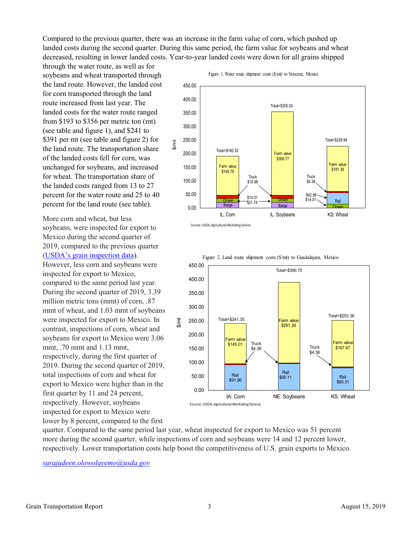Compared to the previous quarter, there was an increase in the farm value of corn, which pushed up landed costs during the second quarter. During this same period, the farm value for soybeans and wheat decreased, resulting in lower landed costs. Year-to-year landed costs were down for all grains shipped

through the water route, as well as for soybeans and wheat transported through the land route. However, the landed cost for corn transported through the land route increased from last year. The landed costs for the water route ranged from \$193 to \$356 per metric ton (mt) (see table and figure 1), and \$241 to \$391 per mt (see table and figure 2) for the land route. The transportation share of the landed costs fell for corn, was unchanged for soybeans, and increased for wheat. The transportation share of the landed costs ranged from 13 to 27 percent for the water route and 25 to 40 percent for the land route (see table).

More corn and wheat, but less soybeans, were inspected for export to Mexico during the second quarter of 2019, compared to the previous quarter ([USDA's grain inspection data](https://fgisonline.ams.usda.gov/ExportGrainReport/default.aspx)). However, less corn and soybeans were inspected for export to Mexico, compared to the same period last year. During the second quarter of 2019, 3.39 million metric tons (mmt) of corn, .87 mmt of wheat, and 1.03 mmt of soybeans were inspected for export to Mexico. In contrast, inspections of corn, wheat and soybeans for export to Mexico were 3.06 mmt, .70 mmt and 1.13 mmt, respectively, during the first quarter of 2019. During the second quarter of 2019, total inspections of corn and wheat for export to Mexico were higher than in the first quarter by 11 and 24 percent, respectively. However, soybeans inspected for export to Mexico were lower by 8 percent, compared to the first



Source: USDA, Agricultural Marketing Service



Figure 2. Land route shipment costs (\$/mt) to Guadalajara, Mexico

quarter. Compared to the same period last year, wheat inspected for export to Mexico was 51 percent more during the second quarter, while inspections of corn and soybeans were 14 and 12 percent lower, respectively. Lower transportation costs help boost the competitiveness of U.S. grain exports to Mexico.

*surajudeen.olowolayemo@usda.gov*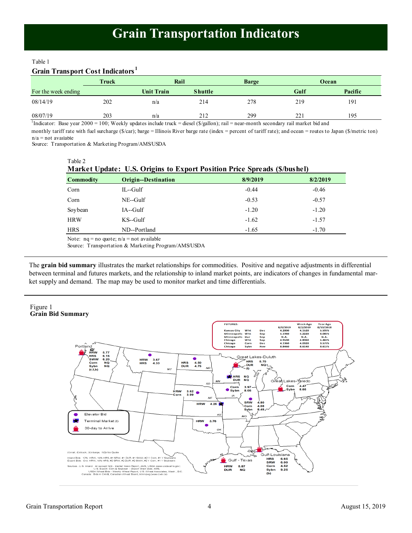#### <span id="page-3-0"></span>Table 1

# **Grain Transport Cost Indicators <sup>1</sup>**

|                     | Truck | Rail              | <b>Barge</b>   |     | Ocean |         |
|---------------------|-------|-------------------|----------------|-----|-------|---------|
| For the week ending |       | <b>Unit Train</b> | <b>Shuttle</b> |     | Gulf  | Pacific |
| 08/14/19            | 202   | n/a               | 214            | 278 | 219   | 191     |
| 08/07/19            | 203   | n/a               | 212            | 299 | 221   | 195     |

<sup>1</sup>Indicator: Base year 2000 = 100; Weekly updates include truck = diesel (\$/gallon); rail = near-month secondary rail market bid and

n/a = not available monthly tariff rate with fuel surcharge (\$/car); barge = Illinois River barge rate (index = percent of tariff rate); and ocean = routes to Japan (\$/metric ton)

Source: Transportation & Marketing Program/AMS/USDA

| Table 2<br>Market Update: U.S. Origins to Export Position Price Spreads (\$/bushel) |                                              |          |          |  |  |  |
|-------------------------------------------------------------------------------------|----------------------------------------------|----------|----------|--|--|--|
| <b>Commodity</b>                                                                    | <b>Origin--Destination</b>                   | 8/9/2019 | 8/2/2019 |  |  |  |
| Corn                                                                                | $IL$ -Gulf                                   | $-0.44$  | $-0.46$  |  |  |  |
| Corn                                                                                | $NE-Gulf$                                    | $-0.53$  | $-0.57$  |  |  |  |
| Soybean                                                                             | $IA$ --Gulf                                  | $-1.20$  | $-1.20$  |  |  |  |
| <b>HRW</b>                                                                          | $KS$ -Gulf                                   | $-1.62$  | $-1.57$  |  |  |  |
| <b>HRS</b>                                                                          | ND--Portland                                 | $-1.65$  | $-1.70$  |  |  |  |
|                                                                                     | Note: $nq = no$ quote; $n/a = not$ available |          |          |  |  |  |

Source: Transportation & Marketing Program/AMS/USDA

The **grain bid summary** illustrates the market relationships for commodities. Positive and negative adjustments in differential between terminal and futures markets, and the relationship to inland market points, are indicators of changes in fundamental market supply and demand. The map may be used to monitor market and time differentials.

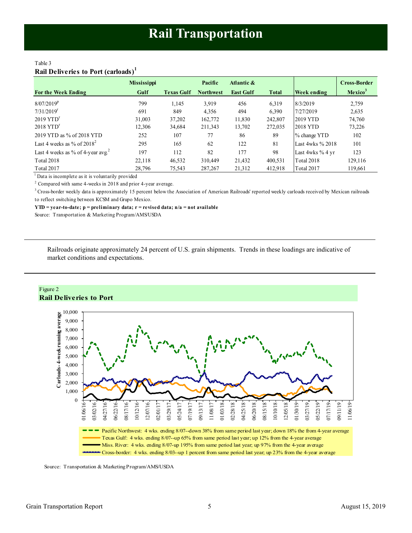# <span id="page-4-0"></span>Table 3 **Rail Deliveries to Port (carloads)<sup>1</sup>**

|                                               | <b>Mississippi</b> |                   | Pacific          | Atlantic &       |              |                    | <b>Cross-Border</b> |
|-----------------------------------------------|--------------------|-------------------|------------------|------------------|--------------|--------------------|---------------------|
| <b>For the Week Ending</b>                    | Gulf               | <b>Texas Gulf</b> | <b>Northwest</b> | <b>East Gulf</b> | <b>Total</b> | <b>Week ending</b> | Mexico <sup>3</sup> |
| $8/07/2019^p$                                 | 799                | 1,145             | 3,919            | 456              | 6,319        | 8/3/2019           | 2,759               |
| $7/31/2019$ <sup>r</sup>                      | 691                | 849               | 4,356            | 494              | 6,390        | 7/27/2019          | 2,635               |
| $2019$ $YTDr$                                 | 31,003             | 37,202            | 162,772          | 11,830           | 242,807      | 2019 YTD           | 74.760              |
| $2018$ YTD <sup>r</sup>                       | 12,306             | 34,684            | 211,343          | 13,702           | 272,035      | 2018 YTD           | 73,226              |
| 2019 YTD as % of 2018 YTD                     | 252                | 107               | 77               | 86               | 89           | % change YTD       | 102                 |
| Last 4 weeks as % of $2018^2$                 | 295                | 165               | 62               | 122              | 81           | Last 4wks % 2018   | 101                 |
| Last 4 weeks as % of 4-year avg. <sup>2</sup> | 197                | 112               | 82               | 177              | 98           | Last 4wks % 4 yr   | 123                 |
| <b>Total 2018</b>                             | 22,118             | 46,532            | 310,449          | 21,432           | 400,531      | <b>Total 2018</b>  | 129,116             |
| Total 2017                                    | 28,796             | 75,543            | 287,267          | 21,312           | 412,918      | Total 2017         | 119,661             |

 $<sup>1</sup>$  Data is incomplete as it is voluntarily provided</sup>

<sup>2</sup> Compared with same 4-weeks in 2018 and prior 4-year average.

<sup>3</sup> Cross-border weekly data is approximately 15 percent below the Association of American Railroads' reported weekly carloads received by Mexican railroads to reflect switching between KCSM and Grupo Mexico.

**YTD = year-to-date; p = preliminary data; r = revised data; n/a = not available**

Source: Transportation & Marketing Program/AMS/USDA

Railroads originate approximately 24 percent of U.S. grain shipments. Trends in these loadings are indicative of market conditions and expectations.



Source: Transportation & Marketing Program/AMS/USDA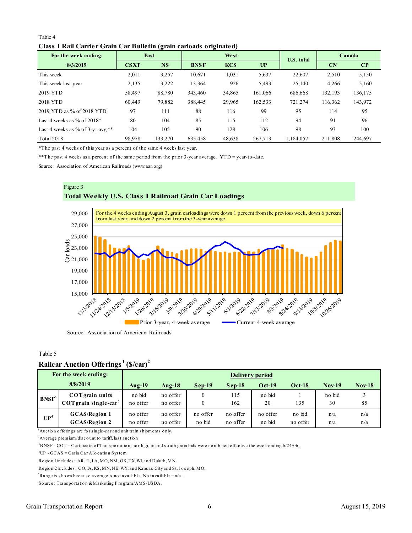### Table 4 **Class I Rail Carrier Grain Car Bulletin (grain carloads originated)**

<span id="page-5-0"></span>

| Table 4                                                             |             |           |             |            |         |                   |         |          |
|---------------------------------------------------------------------|-------------|-----------|-------------|------------|---------|-------------------|---------|----------|
| Class I Rail Carrier Grain Car Bulletin (grain carloads originated) |             |           |             |            |         |                   |         |          |
| For the week ending:                                                |             | East      |             | West       |         | <b>U.S. total</b> |         | Canada   |
| 8/3/2019                                                            | <b>CSXT</b> | <b>NS</b> | <b>BNSF</b> | <b>KCS</b> | UP      |                   | CN      | $\bf CP$ |
| This week                                                           | 2,011       | 3,257     | 10,671      | 1,031      | 5,637   | 22,607            | 2,510   | 5,150    |
| This week last year                                                 | 2,135       | 3,222     | 13,364      | 926        | 5,493   | 25,140            | 4,266   | 5,160    |
| 2019 YTD                                                            | 58.497      | 88,780    | 343,460     | 34,865     | 161,066 | 686,668           | 132,193 | 136,175  |
| 2018 YTD                                                            | 60,449      | 79,882    | 388,445     | 29,965     | 162,533 | 721,274           | 116,362 | 143,972  |
| 2019 YTD as % of 2018 YTD                                           | 97          | 111       | 88          | 116        | 99      | 95                | 114     | 95       |
| Last 4 weeks as $\%$ of 2018*                                       | 80          | 104       | 85          | 115        | 112     | 94                | 91      | 96       |
| Last 4 weeks as % of $3$ -yr avg.**                                 | 104         | 105       | 90          | 128        | 106     | 98                | 93      | 100      |
| <b>Total 2018</b>                                                   | 98,978      | 133,270   | 635,458     | 48,638     | 267,713 | 1,184,057         | 211,808 | 244,697  |

\*The past 4 weeks of this year as a percent of the same 4 weeks last year.

\*\*The past 4 weeks as a percent of the same period from the prior 3-year average. YTD = year-to-date.

Source: Association of American Railroads (www.aar.org)



#### Table 5

# **Railcar Auction Offerings <sup>1</sup>(\$/car)<sup>2</sup>**

|                           | Rantal Author Onthings                                                                                                                        | 19/041               |                      |                    |                      |                    |                    |               |            |
|---------------------------|-----------------------------------------------------------------------------------------------------------------------------------------------|----------------------|----------------------|--------------------|----------------------|--------------------|--------------------|---------------|------------|
|                           | For the week ending:                                                                                                                          |                      |                      |                    |                      | Delivery period    |                    |               |            |
|                           | 8/8/2019                                                                                                                                      | $Aug-19$             | $Aug-18$             | $Sep-19$           | $Sep-18$             | $Oct-19$           | $Oct-18$           | <b>Nov-19</b> | $Nov-18$   |
| $BNSF^3$                  | <b>COT</b> grain units<br>$COT$ grain single-car <sup>5</sup>                                                                                 | no bid<br>no offer   | no offer<br>no offer | $\mathbf{0}$<br>0  | 115<br>162           | no bid<br>20       | 135                | no bid<br>30  | 3<br>85    |
| $\mathbf{U} \mathbf{P}^4$ | <b>GCAS/Region 1</b><br><b>GCAS/Region 2</b>                                                                                                  | no offer<br>no offer | no offer<br>no offer | no offer<br>no bid | no offer<br>no offer | no offer<br>no bid | no bid<br>no offer | n/a<br>n/a    | n/a<br>n/a |
|                           | <sup>1</sup> Auction offerings are for single-car and unit train shipments only.<br>${}^{2}$ Average premium/discount to tariff, last auction |                      |                      |                    |                      |                    |                    |               |            |
|                           | $3BNSF-COT=Certificate of Transportation; north grain and south grain bids were combined effective the week ending 6/24/06.$                  |                      |                      |                    |                      |                    |                    |               |            |
|                           | <sup>4</sup> $I$ ID $CCAS - C$ roin $Cor$ Allocation System                                                                                   |                      |                      |                    |                      |                    |                    |               |            |

<sup>1</sup> Auction offerings are for single-car and unit train shipments only. Auction offerings are for single-car and un:<br>
<sup>2</sup>Average premium/discount to tariff, last at<br>
<sup>3</sup>BNSF - COT = Certificate of Transportatio<br>
<sup>4</sup>UP - GCAS = Grain Car Allocation System<br> **Perion** linelydes: AP II LA MO NM OK

Average premium/discount to tariff, last auction<br>
<sup>3</sup>BNSF - COT = Certificate of Transportation; north grain and south<br>
<sup>4</sup>UP - GCAS = Grain Car Allocation System<br>
Region 1 includes: AR, IL, LA, MO, NM, OK, TX, WI, and Dul

<sup>2</sup>BNSF - COT = Certificate of Transportation; north grain and south grain bids wer<br>
<sup>4</sup>UP - GCAS = Grain Car Allocation System<br>
Region 1 includes : AR, IL, LA, MO, NM, OK, TX, WI, and Duluth, MN.<br>
Region 2 includes : CO,

<sup>4</sup>UP - GCAS = Grain Car Allocation System<br>
Region 1 includes: AR, IL, LA, MO, NM, OK, TX, WI, and Duluth, MN.<br>
Region 2 includes: CO, IA, KS, MN, NE, WY, and Kansas City and St. Jo<br>
<sup>5</sup>Range is shown because average is no Region 1 includes: AR, IL, LA, MO, NM, OK, TX, WI, and Dulut<br>Region 2 includes: CO, IA, KS, MN, NE, WY, and Kansas City<br><sup>5</sup>Range is shown because average is not available. Not avail<br>Source: Transportation & Marketing Progr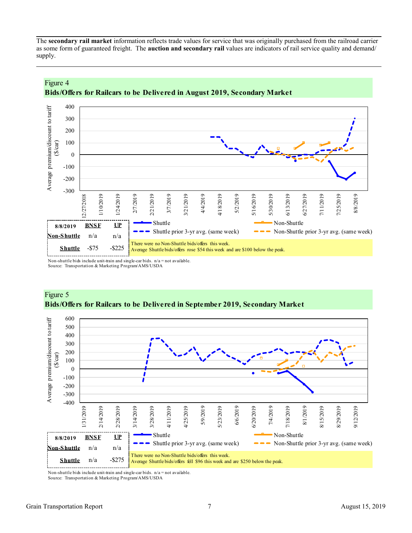The **secondary rail market** information reflects trade values for service that was originally purchased from the railroad carrier as some form of guaranteed freight. The **auction and secondary rail** values are indicators of rail service quality and demand/ supply.



# Figure 4 **Bids/Offers for Railcars to be Delivered in August 2019, Secondary Market**

Non-shuttle bids include unit-train and single-car bids. n/a = not available.

Source: Transportation & Marketing Program/AMS/USDA



# Figure 5 **Bids/Offers for Railcars to be Delivered in September 2019, Secondary Market**

Non-shuttle bids include unit-train and single-car bids.  $n/a = not available$ .

Source: Transportation & Marketing Program/AMS/USDA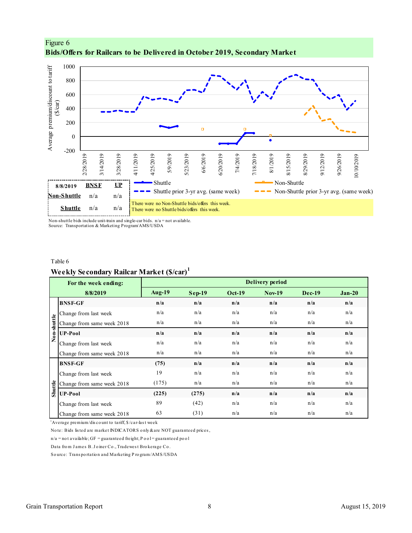<span id="page-7-0"></span>



Non-shuttle bids include unit-train and single-car bids.  $n/a = not available$ . Source: Transportation & Marketing Program/AMS/USDA

Table 6

# **Weekly Secondary Railcar Market (\$/car)<sup>1</sup>**

|                | For the week ending:                                                        |               |               |               | <b>Delivery period</b> |               |          |
|----------------|-----------------------------------------------------------------------------|---------------|---------------|---------------|------------------------|---------------|----------|
|                | 8/8/2019                                                                    | <b>Aug-19</b> | <b>Sep-19</b> | <b>Oct-19</b> | <b>Nov-19</b>          | <b>Dec-19</b> | $Jan-20$ |
|                | <b>BNSF-GF</b>                                                              | n/a           | n/a           | n/a           | n/a                    | n/a           | n/a      |
|                | Change from last week                                                       | n/a           | n/a           | n/a           | n/a                    | n/a           | n/a      |
|                | Change from same week 2018                                                  | n/a           | n/a           | n/a           | n/a                    | n/a           | n/a      |
| Non-shuttle    | <b>UP-Pool</b>                                                              | n/a           | n/a           | n/a           | n/a                    | n/a           | n/a      |
|                | Change from last week                                                       | n/a           | n/a           | n/a           | n/a                    | n/a           | n/a      |
|                | Change from same week 2018                                                  | n/a           | n/a           | n/a           | n/a                    | n/a           | n/a      |
|                | <b>BNSF-GF</b>                                                              | (75)          | n/a           | n/a           | n/a                    | n/a           | n/a      |
|                | Change from last week                                                       | 19            | n/a           | n/a           | n/a                    | n/a           | n/a      |
|                | Change from same week 2018                                                  | (175)         | n/a           | n/a           | n/a                    | n/a           | n/a      |
| <b>Shuttle</b> | <b>UP-Pool</b>                                                              | (225)         | (275)         | n/a           | n/a                    | n/a           | n/a      |
|                | Change from last week                                                       | 89            | (42)          | n/a           | n/a                    | n/a           | n/a      |
|                | Change from same week 2018                                                  | 63            | (31)          | n/a           | n/a                    | n/a           | n/a      |
|                | <sup>1</sup> Average premium/discount to tariff, \$/car-last week           |               |               |               |                        |               |          |
|                | Note: Bids listed are market INDICATORS only & are NOT guaranteed prices,   |               |               |               |                        |               |          |
|                | $n/a$ = not available; GF = guaranteed freight; P o o l = guaranteed po o l |               |               |               |                        |               |          |
|                | Data from James B. Joiner Co., Tradewest Brokerage Co.                      |               |               |               |                        |               |          |
|                | Source: Transportation and Marketing Program/AMS/USDA                       |               |               |               |                        |               |          |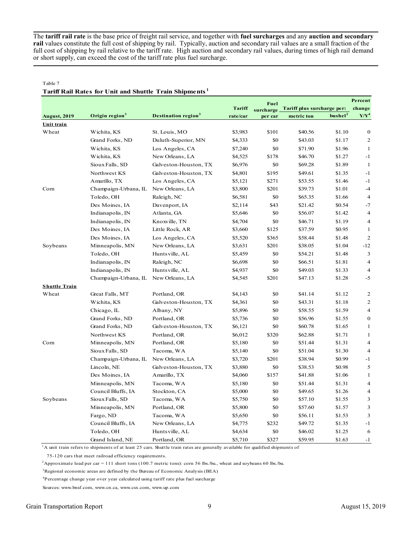The **tariff rail rate** is the base price of freight rail service, and together with **fuel surcharges** and any **auction and secondary rail** values constitute the full cost of shipping by rail. Typically, auction and secondary rail values are a small fraction of the full cost of shipping by rail relative to the tariff rate. High auction and secondary rail values, during times of high rail demand or short supply, can exceed the cost of the tariff rate plus fuel surcharge.

#### Table 7

#### **Tariff Rail Rates for Unit and Shuttle Train Shipments <sup>1</sup>**

|                      |                            |                                        |               | <b>Fuel</b> |                            |                     | Percent        |
|----------------------|----------------------------|----------------------------------------|---------------|-------------|----------------------------|---------------------|----------------|
|                      |                            |                                        | <b>Tariff</b> | surcharge   | Tariff plus surcharge per: |                     | change         |
| <b>August, 2019</b>  | Origin region <sup>3</sup> | <b>Destination region</b> <sup>3</sup> | rate/car      | per car     | metric ton                 | bushel <sup>2</sup> | $Y/Y^4$        |
| Unit train           |                            |                                        |               |             |                            |                     |                |
| Wheat                | Wichita, KS                | St. Louis, MO                          | \$3,983       | \$101       | \$40.56                    | \$1.10              | $\bf{0}$       |
|                      | Grand Forks, ND            | Duluth-Superior, MN                    | \$4,333       | \$0         | \$43.03                    | \$1.17              | 2              |
|                      | Wichita, KS                | Los Angeles, CA                        | \$7,240       | \$0         | \$71.90                    | \$1.96              | $\mathbf{1}$   |
|                      | Wichita, KS                | New Orleans, LA                        | \$4,525       | \$178       | \$46.70                    | \$1.27              | $-1$           |
|                      | Sioux Falls, SD            | Galveston-Houston, TX                  | \$6,976       | \$0         | \$69.28                    | \$1.89              | $\mathbf{1}$   |
|                      | Northwest KS               | Galveston-Houston, TX                  | \$4,801       | \$195       | \$49.61                    | \$1.35              | $-1$           |
|                      | Amarillo, TX               | Los Angeles, CA                        | \$5,121       | \$271       | \$53.55                    | \$1.46              | $-1$           |
| Corn                 | Champaign-Urbana, IL       | New Orleans, LA                        | \$3,800       | \$201       | \$39.73                    | \$1.01              | $-4$           |
|                      | Toledo, OH                 | Raleigh, NC                            | \$6,581       | \$0         | \$65.35                    | \$1.66              | $\overline{4}$ |
|                      | Des Moines, IA             | Davenport, IA                          | \$2,114       | \$43        | \$21.42                    | \$0.54              | $-7$           |
|                      | Indianapolis, IN           | Atlanta, GA                            | \$5,646       | \$0         | \$56.07                    | \$1.42              | $\overline{4}$ |
|                      | Indianapolis, IN           | Knoxville, TN                          | \$4,704       | \$0         | \$46.71                    | \$1.19              | $\overline{4}$ |
|                      | Des Moines, IA             | Little Rock, AR                        | \$3,660       | \$125       | \$37.59                    | \$0.95              | $\mathbf{1}$   |
|                      | Des Moines, IA             | Los Angeles, CA                        | \$5,520       | \$365       | \$58.44                    | \$1.48              | 2              |
| Soybeans             | Minneapolis, MN            | New Orleans, LA                        | \$3,631       | \$201       | \$38.05                    | \$1.04              | $-12$          |
|                      | Toledo, OH                 | Huntsville, AL                         | \$5,459       | \$0         | \$54.21                    | \$1.48              | 3              |
|                      | Indianapolis, IN           | Raleigh, NC                            | \$6,698       | \$0         | \$66.51                    | \$1.81              | $\overline{4}$ |
|                      | Indianapolis, IN           | Huntsville, AL                         | \$4,937       | \$0         | \$49.03                    | \$1.33              | $\overline{4}$ |
|                      | Champaign-Urbana, IL       | New Orleans, LA                        | \$4,545       | \$201       | \$47.13                    | \$1.28              | $-5$           |
| <b>Shuttle Train</b> |                            |                                        |               |             |                            |                     |                |
| Wheat                | Great Falls, MT            | Portland, OR                           | \$4,143       | \$0         | \$41.14                    | \$1.12              | 2              |
|                      | Wichita, KS                | Galveston-Houston, TX                  | \$4,361       | \$0         | \$43.31                    | \$1.18              | $\overline{2}$ |
|                      | Chicago, IL                | Albany, NY                             | \$5,896       | \$0         | \$58.55                    | \$1.59              | $\overline{4}$ |
|                      | Grand Forks, ND            | Portland, OR                           | \$5,736       | \$0         | \$56.96                    | \$1.55              | $\bf{0}$       |
|                      | Grand Forks, ND            | Galveston-Houston, TX                  | \$6,121       | \$0         | \$60.78                    | \$1.65              | $\mathbf{1}$   |
|                      | Northwest KS               | Portland, OR                           | \$6,012       | \$320       | \$62.88                    | \$1.71              | $\mathbf{1}$   |
| Corn                 | Minneapolis, MN            | Portland, OR                           | \$5,180       | \$0         | \$51.44                    | \$1.31              | $\overline{4}$ |
|                      | Sioux Falls, SD            | Tacoma, WA                             | \$5,140       | \$0         | \$51.04                    | \$1.30              | $\overline{4}$ |
|                      | Champaign-Urbana, IL       | New Orleans, LA                        | \$3,720       | \$201       | \$38.94                    | \$0.99              | $-1$           |
|                      | Lincoln, NE                | Galveston-Houston, TX                  | \$3,880       | \$0         | \$38.53                    | \$0.98              | 5              |
|                      | Des Moines, IA             | Amarillo, TX                           | \$4,060       | \$157       | \$41.88                    | \$1.06              | $\mathbf{1}$   |
|                      | Minneapolis, MN            | Tacoma, WA                             | \$5,180       | \$0         | \$51.44                    | \$1.31              | $\overline{4}$ |
|                      | Council Bluffs, IA         | Stockton, CA                           | \$5,000       | \$0         | \$49.65                    | \$1.26              | 4              |
| Soybeans             | Sioux Falls, SD            | Tacoma, WA                             | \$5,750       | \$0         | \$57.10                    | \$1.55              | 3              |
|                      | Minneapolis, MN            | Portland, OR                           | \$5,800       | \$0         | \$57.60                    | \$1.57              | 3              |
|                      | Fargo, ND                  | Tacoma, WA                             | \$5,650       | \$0         | \$56.11                    | \$1.53              | 3              |
|                      | Council Bluffs, IA         | New Orleans, LA                        | \$4,775       | \$232       | \$49.72                    | \$1.35              | $-1$           |
|                      | Toledo, OH                 | Huntsville, AL                         | \$4,634       | \$0         | \$46.02                    | \$1.25              | 6              |
|                      | Grand Island, NE           | Portland, OR                           | \$5,710       | \$327       | \$59.95                    | \$1.63              | $-1$           |

<sup>1</sup>A unit train refers to shipments of at least 25 cars. Shuttle train rates are generally available for qualified shipments of

75-120 cars that meet railroad efficiency requirements.

<sup>2</sup>Approximate load per car = 111 short tons (100.7 metric tons): corn 56 lbs./bu., wheat and soybeans 60 lbs./bu.

<sup>3</sup>Regional economic areas are defined by the Bureau of Economic Analysis (BEA)

<sup>4</sup>Percentage change year over year calculated using tariff rate plus fuel surcharge

Sources: www.bnsf.com, www.cn.ca, www.csx.com, www.up.com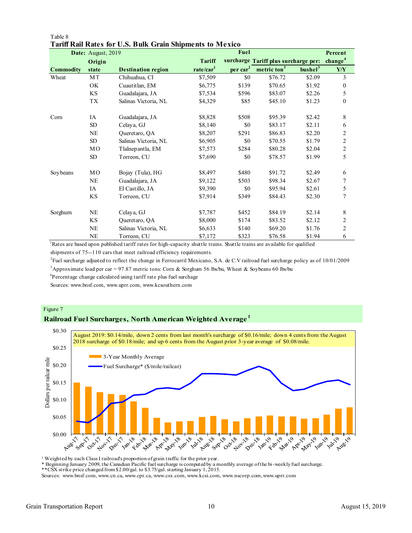|                  | Date: August, 2019 |                           |                       | Fuel           |                                      |                     | Percent             |
|------------------|--------------------|---------------------------|-----------------------|----------------|--------------------------------------|---------------------|---------------------|
|                  | Origin             |                           | <b>Tariff</b>         |                | surcharge Tariff plus surcharge per: |                     | change <sup>4</sup> |
| <b>Commodity</b> | state              | <b>Destination region</b> | rate/car <sup>1</sup> | $per \, car^2$ | $metric \tan^3$                      | bushel <sup>3</sup> | <b>Y/Y</b>          |
| Wheat            | MT                 | Chihuahua, CI             | \$7,509               | \$0            | \$76.72                              | \$2.09              | 3                   |
|                  | OK                 | Cuautitlan, EM            | \$6,775               | \$139          | \$70.65                              | \$1.92              | $\mathbf{0}$        |
|                  | <b>KS</b>          | Guadalajara, JA           | \$7,534               | \$596          | \$83.07                              | \$2.26              | 5                   |
|                  | <b>TX</b>          | Salinas Victoria, NL      | \$4,329               | \$85           | \$45.10                              | \$1.23              | $\mathbf{0}$        |
| Corn             | <b>IA</b>          | Guadalajara, JA           | \$8,828               | \$508          | \$95.39                              | \$2.42              | 8                   |
|                  | SD                 | Celava, GJ                | \$8,140               | \$0            | \$83.17                              | \$2.11              | 6                   |
|                  | <b>NE</b>          | Queretaro, QA             | \$8,207               | \$291          | \$86.83                              | \$2.20              | $\overline{c}$      |
|                  | SD                 | Salinas Victoria, NL      | \$6,905               | \$0            | \$70.55                              | \$1.79              | $\overline{c}$      |
|                  | MO                 | Tlalnepantla, EM          | \$7,573               | \$284          | \$80.28                              | \$2.04              | $\overline{c}$      |
|                  | SD                 | Torreon, CU               | \$7,690               | \$0            | \$78.57                              | \$1.99              | 5                   |
| Soybeans         | MO                 | Bojay (Tula), HG          | \$8,497               | \$480          | \$91.72                              | \$2.49              | 6                   |
|                  | <b>NE</b>          | Guadalajara, JA           | \$9,122               | \$503          | \$98.34                              | \$2.67              | 7                   |
|                  | IA                 | El Castillo, JA           | \$9,390               | \$0            | \$95.94                              | \$2.61              | 5                   |
|                  | KS                 | Torreon, CU               | \$7,914               | \$349          | \$84.43                              | \$2.30              | 7                   |
| Sorghum          | NE                 | Celaya, GJ                | \$7,787               | \$452          | \$84.19                              | \$2.14              | 8                   |
|                  | <b>KS</b>          | Queretaro, QA             | \$8,000               | \$174          | \$83.52                              | \$2.12              | 2                   |
|                  | NE                 | Salinas Victoria, NL      | \$6,633               | \$140          | \$69.20                              | \$1.76              | $\overline{c}$      |
|                  | NE                 | Torreon, CU               | \$7,172               | \$323          | \$76.58                              | \$1.94              | 6                   |

#### Table 8 **Tariff Rail Rates for U.S. Bulk Grain Shipments to Mexico**

<sup>1</sup>Rates are based upon published tariff rates for high-capacity shuttle trains. Shuttle trains are available for qualified shipments of 75--110 cars that meet railroad efficiency requirements.

2 Fuel surcharge adjusted to reflect the change in Ferrocarril Mexicano, S.A. de C.V railroad fuel surcharge policy as of 10/01/2009

<sup>3</sup>Approximate load per car = 97.87 metric tons: Corn & Sorghum 56 lbs/bu, Wheat & Soybeans 60 lbs/bu

<sup>4</sup>Percentage change calculated using tariff rate plus fuel surchage

Sources: www.bnsf.com, www.uprr.com, www.kcsouthern.com

#### Figure 7

# **Railroad Fuel Surcharges, North American Weighted Average <sup>1</sup>**



<sup>1</sup> Weighted by each Class I railroad's proportion of grain traffic for the prior year.

\* Beginning January 2009, the Canadian Pacific fuel surcharge is computed by a monthly average of the bi-weekly fuel surcharge.

\*\*CSX strike price changed from \$2.00/gal. to \$3.75/gal. starting January 1, 2015.

Sources: www.bnsf.com, www.cn.ca, www.cpr.ca, www.csx.com, www.kcsi.com, www.nscorp.com, www.uprr.com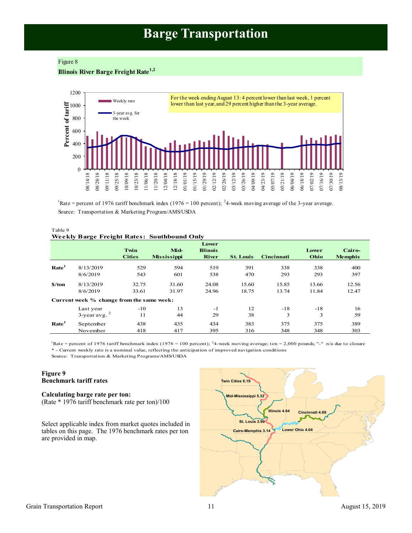# **Barge Transportation**

#### <span id="page-10-0"></span>Figure 8

**Illinois River Barge Freight Rate1,2**



<sup>1</sup>Rate = percent of 1976 tariff benchmark index (1976 = 100 percent); <sup>2</sup>4-week moving average of the 3-year average. Source: Transportation & Marketing Program/AMS/USDA

#### Table 9 **Weekly Barge Freight Rates: Southbound Only**

|                   |                                           | Twin<br><b>Cities</b> | Mid-<br><b>Mississippi</b> | Lower<br><b>Illinois</b><br><b>River</b> | <b>St. Louis</b> | <b>Cincinnati</b> | Lower<br>Ohio | Cairo-<br><b>Memphis</b> |
|-------------------|-------------------------------------------|-----------------------|----------------------------|------------------------------------------|------------------|-------------------|---------------|--------------------------|
| Rate <sup>1</sup> | 8/13/2019                                 | 529                   | 594                        | 519                                      | 391              | 338               | 338           | 400                      |
|                   | 8/6/2019                                  | 543                   | 601                        | 538                                      | 470              | 293               | 293           | 397                      |
| \$/ton            | 8/13/2019                                 | 32.75                 | 31.60                      | 24.08                                    | 15.60            | 15.85             | 13.66         | 12.56                    |
|                   | 8/6/2019                                  | 33.61                 | 31.97                      | 24.96                                    | 18.75            | 13.74             | 11.84         | 12.47                    |
|                   | Current week % change from the same week: |                       |                            |                                          |                  |                   |               |                          |
|                   | Last year                                 | $-10$                 | 13                         | $-1$                                     | 12               | $-18$             | $-18$         | 16                       |
|                   | $3$ -year avg. $2$                        | 11                    | 44                         | 29                                       | 38               | 3                 | 3             | 59                       |
| Rate <sup>1</sup> | September                                 | 438                   | 435                        | 434                                      | 383              | 375               | 375           | 389                      |
|                   | November                                  | 418                   | 417                        | 395                                      | 316              | 348               | 348           | 303                      |

<sup>1</sup>Rate = percent of 1976 tariff benchmark index (1976 = 100 percent); <sup>2</sup>4-week moving average; ton = 2,000 pounds; "-" n/a due to closure \* - Current weekly rate is a nominal value, reflecting the anticipation of improved navigation conditions

Source: Transportation & Marketing Programs/AMS/USDA

#### **Figure 9 Benchmark tariff rates**

#### **Calculating barge rate per ton:** (Rate \* 1976 tariff benchmark rate per ton)/100

Select applicable index from market quotes included in tables on this page. The 1976 benchmark rates per ton are provided in map.

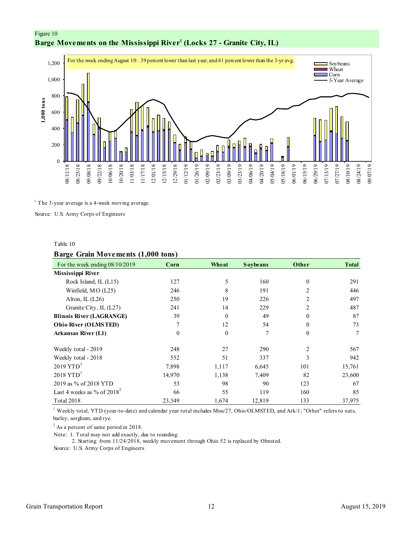<span id="page-11-0"></span>



 $1$  The 3-year average is a 4-week moving average.

Source: U.S. Army Corps of Engineers

#### Table 10

#### **Barge Grain Movements (1,000 tons)**

| For the week ending $08/10/2019$ | Corn             | Wheat            | <b>Soybeans</b> | Other          | <b>Total</b> |
|----------------------------------|------------------|------------------|-----------------|----------------|--------------|
| Mississippi River                |                  |                  |                 |                |              |
| Rock Island, IL (L15)            | 127              | 5                | 160             | $\theta$       | 291          |
| Winfield, MO (L25)               | 246              | 8                | 191             |                | 446          |
| Alton, IL $(L26)$                | 250              | 19               | 226             | $\mathfrak{D}$ | 497          |
| Granite City, IL (L27)           | 241              | 14               | 229             | 2              | 487          |
| <b>Illinois River (LAGRANGE)</b> | 39               | $\boldsymbol{0}$ | 49              | $\theta$       | 87           |
| <b>Ohio River (OLMSTED)</b>      | 7                | 12               | 54              | $\theta$       | 73           |
| Arkansas River (L1)              | $\boldsymbol{0}$ | $\boldsymbol{0}$ | 7               | $\theta$       | 7            |
| Weekly total - 2019              | 248              | 27               | 290             | $\mathfrak{D}$ | 567          |
| Weekly total - 2018              | 552              | 51               | 337             | $\mathbf{3}$   | 942          |
| $2019$ YTD <sup>1</sup>          | 7,898            | 1,117            | 6,645           | 101            | 15,761       |
| $2018$ YTD <sup>1</sup>          | 14,970           | 1,138            | 7,409           | 82             | 23,600       |
| 2019 as % of 2018 YTD            | 53               | 98               | 90              | 123            | 67           |
| Last 4 weeks as % of $2018^2$    | 66               | 55               | 119             | 160            | 85           |
| Total 2018                       | 23,349           | 1,674            | 12,819          | 133            | 37,975       |

<sup>1</sup> Weekly total, YTD (year-to-date) and calendar year total includes Miss/27, Ohio/OLMSTED, and Ark/1; "Other" refers to oats, barley, sorghum, and rye.

<sup>2</sup> As a percent of same period in 2018.

Note: 1. Total may not add exactly, due to rounding.

2. Starting from 11/24/2018, weekly movement through Ohio 52 is replaced by Olmsted.

Source: U.S. Army Corps of Engineers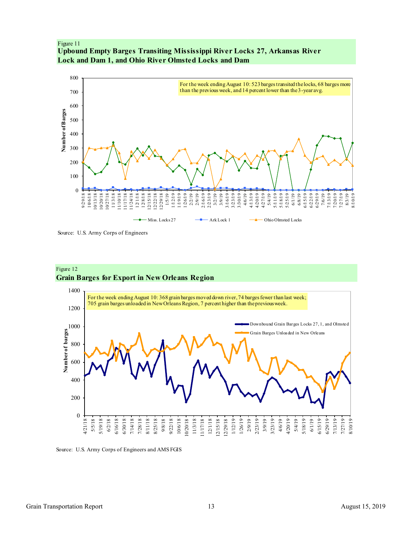<span id="page-12-0"></span>Figure 11 **Upbound Empty Barges Transiting Mississippi River Locks 27, Arkansas River Lock and Dam 1, and Ohio River Olmsted Locks and Dam**



Source: U.S. Army Corps of Engineers





Source: U.S. Army Corps of Engineers and AMS FGIS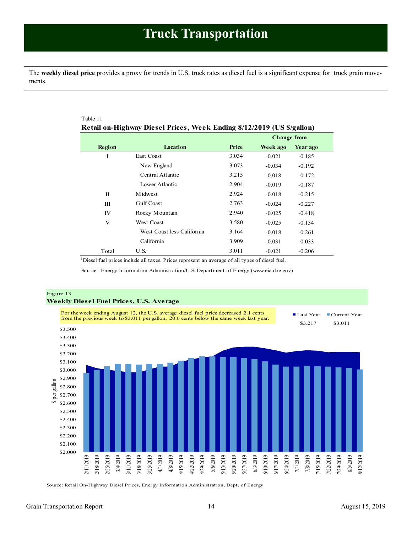<span id="page-13-1"></span><span id="page-13-0"></span>The **weekly diesel price** provides a proxy for trends in U.S. truck rates as diesel fuel is a significant expense for truck grain movements.

| Table 11<br>Retail on-Highway Diesel Prices, Week Ending 8/12/2019 (US \$/gallon) |                            |       |                    |          |  |  |  |
|-----------------------------------------------------------------------------------|----------------------------|-------|--------------------|----------|--|--|--|
|                                                                                   |                            |       | <b>Change from</b> |          |  |  |  |
| Region                                                                            | Location                   | Price | Week ago           | Year ago |  |  |  |
| I                                                                                 | <b>East Coast</b>          | 3.034 | $-0.021$           | $-0.185$ |  |  |  |
|                                                                                   | New England                | 3.073 | $-0.034$           | $-0.192$ |  |  |  |
|                                                                                   | Central Atlantic           | 3.215 | $-0.018$           | $-0.172$ |  |  |  |
|                                                                                   | Lower Atlantic             | 2.904 | $-0.019$           | $-0.187$ |  |  |  |
| П                                                                                 | M idwest                   | 2.924 | $-0.018$           | $-0.215$ |  |  |  |
| Ш                                                                                 | <b>Gulf Coast</b>          | 2.763 | $-0.024$           | $-0.227$ |  |  |  |
| IV                                                                                | Rocky Mountain             | 2.940 | $-0.025$           | $-0.418$ |  |  |  |
| V                                                                                 | <b>West Coast</b>          | 3.580 | $-0.025$           | $-0.134$ |  |  |  |
|                                                                                   | West Coast less California | 3.164 | $-0.018$           | $-0.261$ |  |  |  |
|                                                                                   | California                 | 3.909 | $-0.031$           | $-0.033$ |  |  |  |
| Total                                                                             | U.S.                       | 3.011 | $-0.021$           | $-0.206$ |  |  |  |

<sup>1</sup>Diesel fuel prices include all taxes. Prices represent an average of all types of diesel fuel.

Source: Energy Information Administration/U.S. Department of Energy (www.eia.doe.gov)



Source: Retail On-Highway Diesel Prices, Energy Information Administration, Dept. of Energy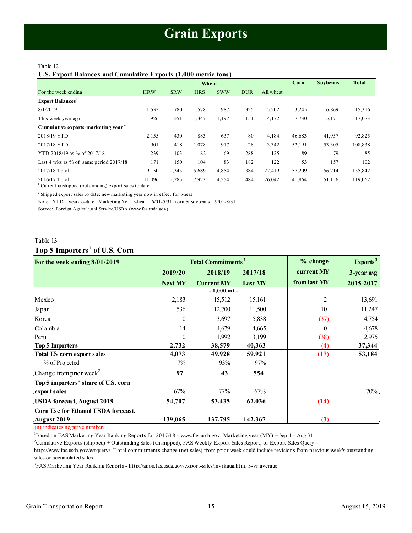#### <span id="page-14-1"></span><span id="page-14-0"></span>Table 12

#### **U.S. Export Balances and Cumulative Exports (1,000 metric tons)**

|                                                |            |            | Wheat      |            |            |           | Corn   | <b>Soybeans</b> | <b>Total</b> |
|------------------------------------------------|------------|------------|------------|------------|------------|-----------|--------|-----------------|--------------|
| For the week ending                            | <b>HRW</b> | <b>SRW</b> | <b>HRS</b> | <b>SWW</b> | <b>DUR</b> | All wheat |        |                 |              |
| <b>Export Balances</b>                         |            |            |            |            |            |           |        |                 |              |
| 8/1/2019                                       | 1,532      | 780        | 1,578      | 987        | 325        | 5,202     | 3,245  | 6,869           | 15,316       |
| This week year ago                             | 926        | 551        | 1,347      | 1,197      | 151        | 4,172     | 7,730  | 5,171           | 17,073       |
| Cumulative exports-marketing year <sup>2</sup> |            |            |            |            |            |           |        |                 |              |
| 2018/19 YTD                                    | 2,155      | 430        | 883        | 637        | 80         | 4,184     | 46,683 | 41,957          | 92,825       |
| 2017/18 YTD                                    | 901        | 418        | 1,078      | 917        | 28         | 3,342     | 52,191 | 53,305          | 108,838      |
| YTD 2018/19 as % of 2017/18                    | 239        | 103        | 82         | 69         | 288        | 125       | 89     | 79              | 85           |
| Last 4 wks as % of same period $2017/18$       | 171        | 150        | 104        | 83         | 182        | 122       | 53     | 157             | 102          |
| 2017/18 Total                                  | 9,150      | 2,343      | 5,689      | 4,854      | 384        | 22,419    | 57,209 | 56,214          | 135,842      |
| 2016/17 Total                                  | 11.096     | 2,285      | 7,923      | 4,254      | 484        | 26,042    | 41,864 | 51,156          | 119,062      |

<sup>1</sup> Current unshipped (outstanding) export sales to date

 $2$  Shipped export sales to date; new marketing year now in effect for wheat

Note: YTD = year-to-date. Marketing Year: wheat =  $6/01-5/31$ , corn & soybeans =  $9/01-8/31$ 

Source: Foreign Agricultural Service/USDA (www.fas.usda.gov)

# Table 13 **Top 5 Importers <sup>1</sup> of U.S. Corn**

# Table 13<br> **For the week ending 8/01/2019**<br> **For the week ending 8/01/2019**<br> **For the week ending 8/01/2019**<br> **For the week ending 8/01/2019**<br> **For the week ending 8/01/2019**<br> **Postage Property All All Property All Property 2019/20 2018/19 2017/18 current MY 3-year avg Next MY Current MY Last MY from last MY 2015-2017** Mexico 2,183 15,512 15,161 2 13,691 Japan 536 12,700 11,500 10 11,247 Korea 1988 (37) 1989 (37) 1989 (37) 1989 (37) 1989 (37) 1989 (37) 1989 (37) 1989 (37) 1989 (37) 1989 (37) 1989 (37) 1989 (37) 1989 (37) 1989 (37) 1989 (37) 1989 (37) 1989 (37) 1989 (37) 1989 (37) 1989 (37) 1989 (37) 1989 ( Colombia 14 4,679 4,665 0 4,678 Peru 0 1,992 3,199 (38) 2,975 **Top 5 Importers 2,732 38,579 40,363 (4) 37,344 Total US corn export sales 4,073 49,928 59,921 (17) 53,184** % of Projected 7% 93% 97% 97% Change from prior week<sup>2</sup>  $\frac{1}{32}$   $\frac{38,579}{40,36}$ <br> **973**  $\frac{49,928}{93\%}$   $\frac{59,921}{97\%}$ <br> **979**  $\frac{43}{554}$ **Top 5 importers' share of U.S. corn export sales** 67% 67% 67% 67% 67% 70% 70% 70% **USDA forecast, August 2019 54,707 53,435 62,036 (14) Corn Use for Ethanol USDA forecast, August 2019 139,065 137,795 142,367 (3) Total Commitments<sup>2</sup> - 1,000 mt -**

(n) indicates negative number.

<sup>1</sup>Based on FAS Marketing Year Ranking Reports for 2017/18 - www.fas.usda.gov; Marketing year (MY) = Sep 1 - Aug 31.

<sup>2</sup>Cumulative Exports (shipped) + Outstanding Sales (unshipped), FAS Weekly Export Sales Report, or Export Sales Query--

http://www.fas.usda.gov/esrquery/. Total commitments change (net sales) from prior week could include revisions from previous week's outstanding sales or accumulated sales.

3 FAS Marketing Year Ranking Reports - http://apps.fas.usda.gov/export-sales/myrkaug.htm; 3-yr average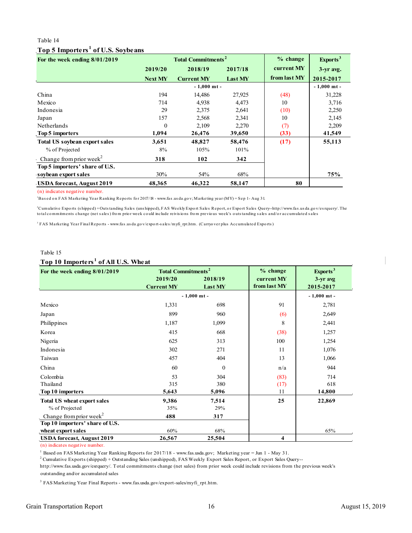# Table 14 **Top 5 Importers <sup>1</sup> of U.S. Soybeans**

<span id="page-15-0"></span>

| Top 5 Importers <sup>1</sup> of U.S. Soybe ans<br>2019/20<br><b>Next MY</b><br>194 | <b>Total Commitments<sup>2</sup></b><br>2018/19<br><b>Current MY</b><br>$-1,000$ mt - | 2017/18<br>Last MY | $%$ change<br>current MY<br>from last MY | Exports <sup>3</sup><br>3-yr avg. |
|------------------------------------------------------------------------------------|---------------------------------------------------------------------------------------|--------------------|------------------------------------------|-----------------------------------|
|                                                                                    |                                                                                       |                    |                                          |                                   |
|                                                                                    |                                                                                       |                    |                                          |                                   |
|                                                                                    |                                                                                       |                    |                                          |                                   |
|                                                                                    |                                                                                       |                    |                                          | 2015-2017                         |
|                                                                                    |                                                                                       |                    |                                          | $-1,000$ mt -                     |
|                                                                                    | 14,486                                                                                | 27,925             | (48)                                     | 31,228                            |
| 714                                                                                | 4,938                                                                                 | 4,473              | 10                                       | 3,716                             |
| 29                                                                                 | 2,375                                                                                 | 2,641              | (10)                                     | 2,250                             |
| 157                                                                                | 2,568                                                                                 | 2,341              | 10                                       | 2,145                             |
| $\Omega$                                                                           | 2,109                                                                                 | 2,270              | (7)                                      | 2,209                             |
| 1,094                                                                              | 26,476                                                                                | 39,650             | (33)                                     | 41,549                            |
| 3,651                                                                              | 48,827                                                                                | 58,476             | (17)                                     | 55,113                            |
| 8%                                                                                 | 105%                                                                                  | 101%               |                                          |                                   |
| 318                                                                                | 102                                                                                   | 342                |                                          |                                   |
|                                                                                    |                                                                                       |                    |                                          |                                   |
| 30%                                                                                | 54%                                                                                   | 68%                |                                          | <b>75%</b>                        |
| 48,365                                                                             | 46,322                                                                                | 58,147             | 80                                       |                                   |
|                                                                                    |                                                                                       |                    |                                          |                                   |

<sup>1</sup>Bas ed o n FAS Marketing Year Ranking Repo rts fo r 2017/18 - www.fas .us da.go v; Marketing year (MY) = Sep 1 - Aug 31.

Cumulative Exports (shipped)+Outstanding Sales (unshipped), FAS Weekly Export Sales Report, or Export Sales Query--h<br>otal commitments change (net sales) from prior week could include reivisions from previous week's outstan 2022<br>2Cumulative Exports (s hipped) + Outstanding Reports for 2017/18 - www.fas.usda.gov; Marketing year (MY) = Sep 1- Aug 31.<br>2Cumulative Exports (s hipped) + Outstanding Sales (uns hipped), FAS Weekly Export Sales Report (n) indicates negative number.<br>"Based on FAS Marketing Year Ranking Reports for 2017/18 - www.fas.usda.gov; Marketing year (MY) = Sep 1- Aug 31.<br>"Cumulative Exports (shipped) +Outstanding Sales (unshipped), FAS Weekly Expo

<sup>3</sup> FAS Marketing Year Final Reports - www.fas.usda.gov/export-sales/myfi\_rpt.htm. (Carryover plus Accumulated Exports)

#### Table 15

## **Top 10 Importers <sup>1</sup> of All U.S. Wheat**

| Table 15<br>Top 10 Importers <sup>1</sup> of All U.S. Wheat |                                      |                    |                            |                       |  |  |  |
|-------------------------------------------------------------|--------------------------------------|--------------------|----------------------------|-----------------------|--|--|--|
| For the week ending 8/01/2019                               | <b>Total Commitments<sup>2</sup></b> |                    | $%$ change                 | Exports <sup>3</sup>  |  |  |  |
|                                                             | 2019/20<br><b>Current MY</b>         | 2018/19<br>Last MY | current MY<br>from last MY | 3-yr avg<br>2015-2017 |  |  |  |
|                                                             |                                      | $-1,000$ mt -      |                            | $-1,000$ mt -         |  |  |  |
| Mexico                                                      | 1,331                                | 698                | 91                         | 2,781                 |  |  |  |
| Japan                                                       | 899                                  | 960                | (6)                        | 2,649                 |  |  |  |
| Philippines                                                 | 1,187                                | 1,099              | 8                          | 2,441                 |  |  |  |
| Korea                                                       | 415                                  | 668                | (38)                       | 1,257                 |  |  |  |
| Nigeria                                                     | 625                                  | 313                | 100                        | 1,254                 |  |  |  |
| Indonesia                                                   | 302                                  | 271                | 11                         | 1,076                 |  |  |  |
| Taiwan                                                      | 457                                  | 404                | 13                         | 1,066                 |  |  |  |
| China                                                       | 60                                   | $\Omega$           | n/a                        | 944                   |  |  |  |
| Colombia                                                    | 53                                   | 304                | (83)                       | 714                   |  |  |  |
| Thailand                                                    | 315                                  | 380                | (17)                       | 618                   |  |  |  |
| Top 10 importers                                            | 5,643                                | 5,096              | 11                         | 14,800                |  |  |  |
| <b>Total US wheat export sales</b>                          | 9,386                                | 7,514              | 25                         | 22,869                |  |  |  |
| % of Projected                                              | 35%                                  | 29%                |                            |                       |  |  |  |
| Change from prior week <sup>2</sup>                         | 488                                  | 317                |                            |                       |  |  |  |
| Top 10 importers' share of U.S.                             |                                      |                    |                            |                       |  |  |  |
| wheat export sales                                          | 60%                                  | 68%                |                            | 65%                   |  |  |  |
| <b>USDA</b> forecast, August 2019                           | 26,567                               | 25,504             | $\overline{\mathbf{4}}$    |                       |  |  |  |

(n) indicates negative number.

<sup>1</sup> Based on FAS Marketing Year Ranking Reports for 2017/18 - www.fas.usda.gov; Marketing year = Jun 1 - May 31.

2 Cumulative Exports (shipped) + Outstanding Sales (unshipped), FAS Weekly Export Sales Report, or Export Sales Query--

outstanding and/or accumulated sales http://www.fas.usda.gov/esrquery/. Total commitments change (net sales) from prior week could include revisions from the previous week's

<sup>3</sup> FAS Marketing Year Final Reports - www.fas.usda.gov/export-sales/myfi\_rpt.htm.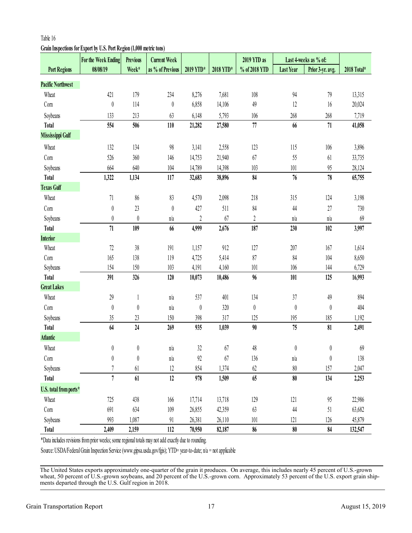# <span id="page-16-0"></span>**Grain Inspections for Export by U.S. Port Region (1,000 metric tons)**

|                          | For the Week Ending                                                                                              | <b>Previous</b>  | <b>Current Week</b> |                  |           | 2019 YTD as      |                  | Last 4-weeks as % of: |             |
|--------------------------|------------------------------------------------------------------------------------------------------------------|------------------|---------------------|------------------|-----------|------------------|------------------|-----------------------|-------------|
| <b>Port Regions</b>      | 08/08/19                                                                                                         | Week*            | as % of Previous    | 2019 YTD*        | 2018 YTD* | % of 2018 YTD    | <b>Last Year</b> | Prior 3-yr. avg.      | 2018 Total* |
| <b>Pacific Northwest</b> |                                                                                                                  |                  |                     |                  |           |                  |                  |                       |             |
| Wheat                    | 421                                                                                                              | 179              | 234                 | 8,276            | 7,681     | 108              | 94               | 79                    | 13,315      |
| Corn                     | $\boldsymbol{0}$                                                                                                 | 114              | $\boldsymbol{0}$    | 6,858            | 14,106    | 49               | 12               | 16                    | 20,024      |
| Soybeans                 | 133                                                                                                              | 213              | 63                  | 6,148            | 5,793     | 106              | 268              | 268                   | 7,719       |
| <b>Total</b>             | 554                                                                                                              | 506              | $110$               | 21,282           | 27,580    | $77\,$           | 66               | $71\,$                | 41,058      |
| Mississippi Gulf         |                                                                                                                  |                  |                     |                  |           |                  |                  |                       |             |
| Wheat                    | 132                                                                                                              | 134              | $98$                | 3,141            | 2,558     | 123              | 115              | 106                   | 3,896       |
| Corn                     | 526                                                                                                              | 360              | 146                 | 14,753           | 21,940    | 67               | 55               | 61                    | 33,735      |
| Soybeans                 | 664                                                                                                              | 640              | 104                 | 14,789           | 14,398    | 103              | 101              | 95                    | 28,124      |
| <b>Total</b>             | 1,322                                                                                                            | 1,134            | 117                 | 32,683           | 38,896    | 84               | 76               | 78                    | 65,755      |
| <b>Texas Gulf</b>        |                                                                                                                  |                  |                     |                  |           |                  |                  |                       |             |
| Wheat                    | 71                                                                                                               | $86$             | 83                  | 4,570            | 2,098     | 218              | 315              | 124                   | 3,198       |
| Com                      | $\boldsymbol{0}$                                                                                                 | 23               | $\boldsymbol{0}$    | 427              | 511       | 84               | 44               | 27                    | 730         |
| Soybeans                 | $\boldsymbol{0}$                                                                                                 | $\boldsymbol{0}$ | n/a                 | $\boldsymbol{2}$ | 67        | $\sqrt{2}$       | n/a              | n/a                   | 69          |
| <b>Total</b>             | $71\,$                                                                                                           | 109              | 66                  | 4,999            | 2,676     | 187              | 230              | 102                   | 3,997       |
| <b>Interior</b>          |                                                                                                                  |                  |                     |                  |           |                  |                  |                       |             |
| Wheat                    | $72\,$                                                                                                           | $38\,$           | 191                 | 1,157            | 912       | 127              | 207              | 167                   | 1,614       |
| Corn                     | 165                                                                                                              | 138              | 119                 | 4,725            | 5,414     | 87               | 84               | 104                   | 8,650       |
| Soybeans                 | 154                                                                                                              | 150              | 103                 | 4,191            | 4,160     | 101              | 106              | 144                   | 6,729       |
| <b>Total</b>             | 391                                                                                                              | 326              | 120                 | 10,073           | 10,486    | 96               | 101              | 125                   | 16,993      |
| <b>Great Lakes</b>       |                                                                                                                  |                  |                     |                  |           |                  |                  |                       |             |
| Wheat                    | $29\,$                                                                                                           | $\mathbf{1}$     | n/a                 | 537              | 401       | 134              | 37               | 49                    | 894         |
| Com                      | $\boldsymbol{0}$                                                                                                 | $\boldsymbol{0}$ | n/a                 | $\boldsymbol{0}$ | 320       | $\boldsymbol{0}$ | $\boldsymbol{0}$ | $\boldsymbol{0}$      | 404         |
| Soybeans                 | $35\,$                                                                                                           | 23               | 150                 | 398              | 317       | 125              | 195              | 185                   | 1,192       |
| <b>Total</b>             | 64                                                                                                               | 24               | 269                 | 935              | 1,039     | 90               | 75               | 81                    | 2,491       |
| <b>Atlantic</b>          |                                                                                                                  |                  |                     |                  |           |                  |                  |                       |             |
| Wheat                    | 0                                                                                                                | $\pmb{0}$        | n/a                 | 32               | 67        | 48               | $\boldsymbol{0}$ | 0                     | 69          |
| Com                      | $\theta$                                                                                                         | $\boldsymbol{0}$ | n/a                 | 92               | 67        | 136              | n/a              | $\pmb{0}$             | 138         |
| Soybeans                 | $\overline{7}$                                                                                                   | 61               | $12 \,$             | 854              | 1,374     | $62$             | 80               | 157                   | 2,047       |
| <b>Total</b>             | $\overline{7}$                                                                                                   | 61               | $12\,$              | 978              | 1,509     | 65               | $80\,$           | 134                   | 2,253       |
| U.S. total from ports*   |                                                                                                                  |                  |                     |                  |           |                  |                  |                       |             |
| Wheat                    | 725                                                                                                              | 438              | 166                 | 17,714           | 13,718    | 129              | 121              | 95                    | 22,986      |
| Com                      | 691                                                                                                              | 634              | 109                 | 26,855           | 42,359    | 63               | 44               | 51                    | 63,682      |
| Soybeans                 | 993                                                                                                              | 1,087            | 91                  | 26,381           | 26,110    | 101              | 121              | 126                   | 45,879      |
| <b>Total</b>             | 2,409                                                                                                            | 2,159            | 112                 | 70,950           | 82,187    | 86               | $80\,$           | 84                    | 132,547     |
|                          | *Data includes revisions from prior weeks; some regional totals may not add exactly due to rounding.             |                  |                     |                  |           |                  |                  |                       |             |
|                          | Source: USDA/Federal Grain Inspection Service (www.gipsa.usda.gov/fgis); YTD= year-to-date; n/a = not applicable |                  |                     |                  |           |                  |                  |                       |             |
|                          |                                                                                                                  |                  |                     |                  |           |                  |                  |                       |             |

The United States exports approximately one-quarter of the grain it produces. On average, this includes nearly 45 percent of U.S.-grown wheat, 50 percent of U.S.-grown soybeans, and 20 percent of the U.S.-grown corn. Approximately 53 percent of the U.S. export grain ship-<br>ments departed through the U.S. Gulf region in 2018.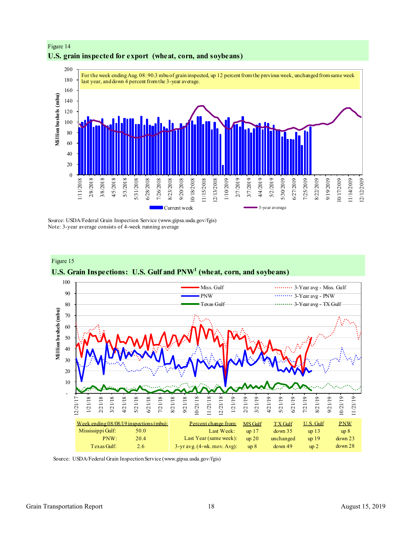

# Figure 14 **U.S. grain inspected for export (wheat, corn, and soybeans)**

Source: USDA/Federal Grain Inspection Service (www.gipsa.usda.gov/fgis) Note: 3-year average consists of 4-week running average



Source: USDA/Federal Grain Inspection Service (www.gipsa.usda.gov/fgis)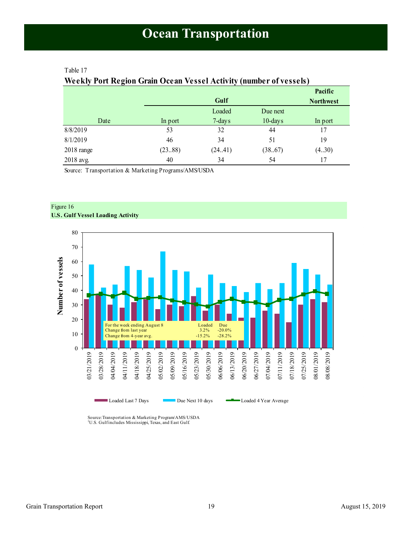# <span id="page-18-1"></span><span id="page-18-0"></span>Table 17

# **Weekly Port Region Grain Ocean Vessel Activity (number of vessels)**

|                      |         |         |            | Pacific          |
|----------------------|---------|---------|------------|------------------|
|                      |         | Gulf    |            | <b>Northwest</b> |
|                      |         | Loaded  | Due next   |                  |
| Date                 | In port | 7-days  | $10$ -days | In port          |
| 8/8/2019             | 53      | 32      | 44         | 17               |
| 8/1/2019             | 46      | 34      | 51         | 19               |
| $2018 \text{ range}$ | (2388)  | (24.41) | (3867)     | (430)            |
| 2018 avg.            | 40      | 34      | 54         | 17               |

Source: Transportation & Marketing Programs/AMS/USDA



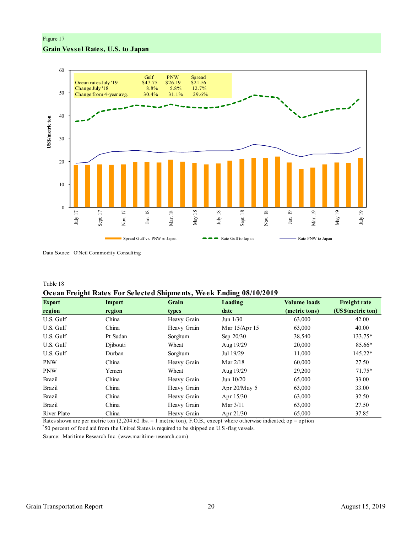#### Figure 17

#### **Grain Vessel Rates, U.S. to Japan**



Data Source: O'Neil Commodity Consulting

Table 18

## **Ocean Freight Rates For Selected Shipments, Week Ending 08/10/2019**

| <b>Export</b> | <b>Import</b> | Grain       | Loading         | <b>Volume loads</b> | <b>Freight rate</b> |
|---------------|---------------|-------------|-----------------|---------------------|---------------------|
| region        | region        | types       | date            | (metric tons)       | (US \$/metric ton)  |
| U.S. Gulf     | China         | Heavy Grain | Jun $1/30$      | 63,000              | 42.00               |
| U.S. Gulf     | China         | Heavy Grain | Mar 15/Apr 15   | 63,000              | 40.00               |
| U.S. Gulf     | Pt Sudan      | Sorghum     | Sep $20/30$     | 38,540              | 133.75*             |
| U.S. Gulf     | Diibouti      | Wheat       | Aug 19/29       | 20,000              | 85.66*              |
| U.S. Gulf     | Durban        | Sorghum     | Jul 19/29       | 11,000              | 145.22*             |
| <b>PNW</b>    | China         | Heavy Grain | Mar $2/18$      | 60,000              | 27.50               |
| <b>PNW</b>    | Yemen         | Wheat       | Aug 19/29       | 29,200              | $71.75*$            |
| <b>Brazil</b> | China         | Heavy Grain | Jun 10/20       | 65,000              | 33.00               |
| <b>Brazil</b> | China         | Heavy Grain | Apr $20/M$ ay 5 | 63,000              | 33.00               |
| Brazil        | China         | Heavy Grain | Apr 15/30       | 63,000              | 32.50               |
| <b>Brazil</b> | China         | Heavy Grain | Mar $3/11$      | 63,000              | 27.50               |
| River Plate   | China         | Heavy Grain | Apr 21/30       | 65,000              | 37.85               |

Rates shown are per metric ton (2,204.62 lbs. = 1 metric ton), F.O.B., except where otherwise indicated; op = option

\* 50 percent of food aid from the United States is required to be shipped on U.S.-flag vessels.

Source: Maritime Research Inc. (www.maritime-research.com)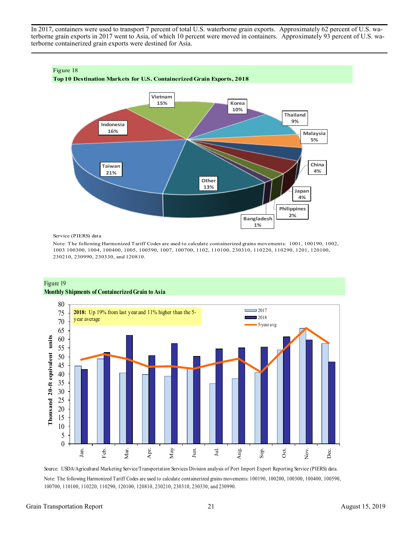In 2017, containers were used to transport 7 percent of total U.S. waterborne grain exports. Approximately 62 percent of U.S. waterborne grain exports in 2017 went to Asia, of which 10 percent were moved in containers. Approximately 93 percent of U.S. waterborne containerized grain exports were destined for Asia.



Service (PIERS) data

Note: The following Harmonized Tariff Codes are used to calculate containerized grains movements: 1001, 100190, 1002, 1003 100300, 1004, 100400, 1005, 100590, 1007, 100700, 1102, 110100, 230310, 110220, 110290, 1201, 120100, 230210, 230990, 230330, and 120810.





Source: USDA/Agricultural Marketing Service/Transportation Services Division analysis of Port Import Export Reporting Service (PIERS) data. Note: The following Harmonized Tariff Codes are used to calculate containerized grains movements: 100190, 100200, 100300, 100400, 100590, 100700, 110100, 110220, 110290, 120100, 120810, 230210, 230310, 230330, and 230990.